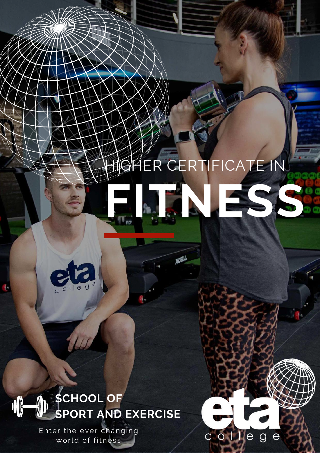# GHER CERTIFICATE IN **[FITNESS](https://www.etacollege.com/fitness-studies/higher-certificate-fitness/)**

**XOB** 

colleg



#### **SCHOOL OF SPORT AND EXERCISE**

Enter the ever changing world of fitness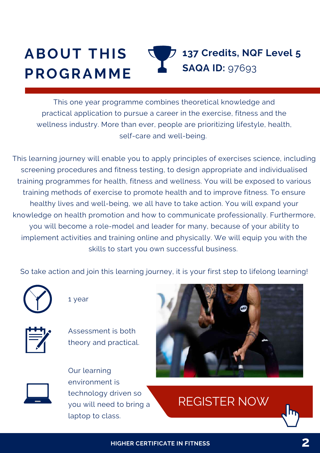#### **ABOUT THIS PROGRAMME 137 Credits, NQF Level 5 SAQA ID:** 97693

This one year programme combines theoretical knowledge and practical application to pursue a career in the exercise, fitness and the wellness industry. More than ever, people are prioritizing lifestyle, health, self-care and well-being.

This learning journey will enable you to apply principles of exercises science, including screening procedures and fitness testing, to design appropriate and individualised training programmes for health, fitness and wellness. You will be exposed to various training methods of exercise to promote health and to improve fitness. To ensure healthy lives and well-being, we all have to take action. You will expand your knowledge on health promotion and how to communicate professionally. Furthermore, you will become a role-model and leader for many, because of your ability to implement activities and training online and physically. We will equip you with the skills to start you own successful business.

So take action and join this learning journey, it is your first step to lifelong learning!



1 year



Assessment is both theory and practical.



Our learning environment is technology driven so you will need to bring a laptop to class.



### [REGISTER](https://www.etacollege.com/admissions/online-applications/) NOW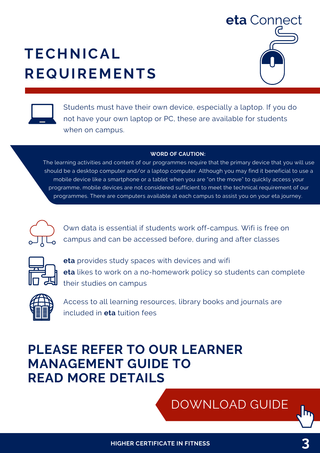### **TECHNICAL REQUIREMENTS**





Students must have their own device, especially a laptop. If you do not have your own laptop or PC, these are available for students when on campus.

#### **WORD OF CAUTION:**

The learning activities and content of our programmes require that the primary device that you will use should be a desktop computer and/or a laptop computer. Although you may find it beneficial to use a mobile device like a smartphone or a tablet when you are "on the move" to quickly access your programme, mobile devices are not considered sufficient to meet the technical requirement of our [programmes.](https://www.etacollege.com/culture/student-resources/) There are computers available at each campus to assist you on your eta journey.



Own data is essential if students work off-campus. Wifi is free on campus and can be accessed before, during and after classes



**eta** provides study spaces with devices and wifi **eta** likes to work on a no-homework policy so students can complete their studies on campus



Access to all learning resources, library books and journals are included in **eta** tuition fees

### **PLEASE REFER TO OUR LEARNER MANAGEMENT GUIDE TO READ MORE DETAILS**

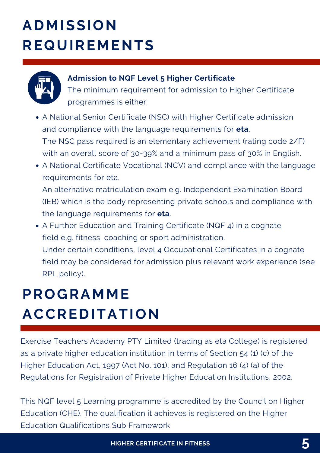# **ADMISSION REQUIREMENTS**



#### **Admission to NQF Level 5 Higher Certificate**

The minimum requirement for admission to Higher Certificate programmes is either:

- A National Senior Certificate (NSC) with Higher Certificate admission and compliance with the language requirements for **eta**. The NSC pass required is an elementary achievement (rating code 2/F) with an overall score of 30-39% and a minimum pass of 30% in English.
- A National Certificate Vocational (NCV) and compliance with the language requirements for eta.

An alternative matriculation exam e.g. Independent Examination Board (IEB) which is the body representing private schools and compliance with the language requirements for **eta**.

A Further Education and Training Certificate (NQF 4) in a cognate field e.g. fitness, coaching or sport administration. Under certain conditions, level 4 Occupational Certificates in a cognate field may be considered for admission plus relevant work experience (see RPL policy).

### **PROGRAMME ACCREDITATION**

Exercise Teachers Academy PTY Limited (trading as eta College) is registered as a private higher education institution in terms of Section 54 (1) (c) of the Higher Education Act, 1997 (Act No. 101), and Regulation 16 (4) (a) of the Regulations for Registration of Private Higher Education Institutions, 2002.

This NQF level 5 Learning programme is accredited by the Council on Higher Education (CHE). The qualification it achieves is registered on the Higher Education Qualifications Sub Framework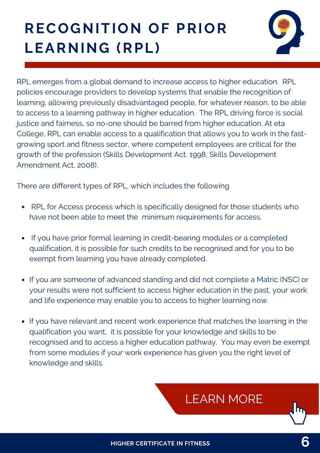# **RECOGNITION OF PRIOR LEARNING (RPL)**



RPL emerges from a global demand to increase access to higher education. RPL policies encourage providers to develop systems that enable the recognition of learning, allowing previously disadvantaged people, for whatever reason, to be able to access to a learning pathway in higher education. The RPL driving force is social justice and fairness, so no-one should be barred from higher education. At eta College, RPL can enable access to a qualification that allows you to work in the fastgrowing sport and fitness sector, where competent employees are critical for the growth of the profession (Skills Development Act, 1998, Skills Development Amendment Act, 2008).

There are different types of RPL, which includes the following

- RPL for Access process which is specifically designed for those students who have not been able to meet the minimum requirements for access.
- If you have prior formal learning in credit-bearing modules or a completed qualification, it is possible for such credits to be recognised and for you to be exempt from learning you have already completed.
- If you are someone of advanced standing and did not complete a Matric (NSC) or your results were not sufficient to access higher education in the past, your work and life experience may enable you to access to higher learning now.
- If you have relevant and recent work experience that matches the learning in the qualification you want, it is possible for your knowledge and skills to be recognised and to access a higher education pathway. You may even be exempt from some modules if your work experience has given you the right level of knowledge and skills.

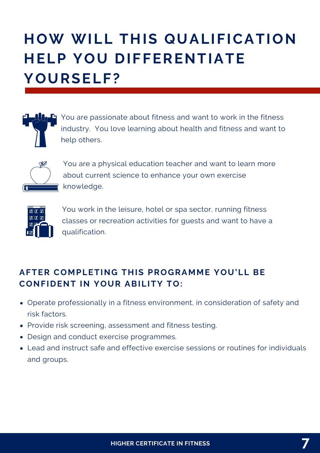# **HOW WILL THIS QUALIFICATION HELP YOU DIFFERENTIATE YOURSELF?**



You are passionate about fitness and want to work in the fitness industry. You love learning about health and fitness and want to help others.



You are a physical education teacher and want to learn more about current science to enhance your own exercise knowledge.



You work in the leisure, hotel or spa sector, running fitness classes or recreation activities for guests and want to have a qualification.

### **AFTER COMPLETING THIS PROGRAMME YOU'LL BE CONFIDENT IN YOUR ABILITY TO:**

- Operate professionally in a fitness environment, in consideration of safety and risk factors.
- Provide risk screening, assessment and fitness testing.
- Design and conduct exercise programmes.
- Lead and instruct safe and effective exercise sessions or routines for individuals and groups.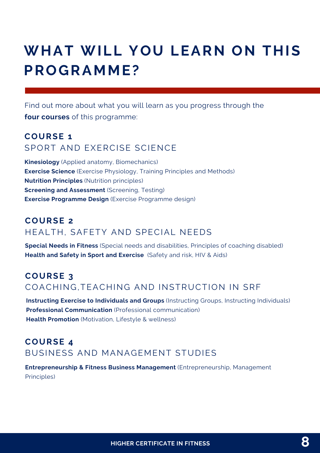### **WHAT WILL YOU LEARN ON THIS PROGRAMME?**

Find out more about what you will learn as you progress through the **four courses** of this programme:

### **COURSE 1** SPORT AND EXERCISE SCIENCE

**Kinesiology** (Applied anatomy, Biomechanics) **Exercise Science** (Exercise Physiology, Training Principles and Methods) **Nutrition Principles** (Nutrition principles) **Screening and Assessment** (Screening, Testing) **Exercise Programme Design** (Exercise Programme design)

#### **COURSE 2** HEALTH, SAFETY AND SPECIAL NEEDS

**Special Needs in Fitness** (Special needs and disabilities, Principles of coaching disabled) **Health and Safety in Sport and Exercise** (Safety and risk, HIV & Aids)

#### **COURSE 3** COACHING,TEACHING AND INSTRUCTION IN SRF

**Instructing Exercise to Individuals and Groups** (Instructing Groups, Instructing Individuals) **Professional Communication** (Professional communication) **Health Promotion** (Motivation, Lifestyle & wellness)

### **COURSE 4** BUSINESS AND MANAGEMENT STUDIES

**Entrepreneurship & Fitness Business Management** (Entrepreneurship, Management Principles)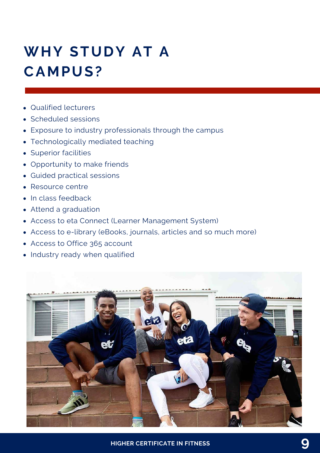# **WHY STUDY AT A CAMPUS?**

- Qualified lecturers
- Scheduled sessions
- Exposure to industry professionals through the campus
- Technologically mediated teaching
- Superior facilities
- Opportunity to make friends
- Guided practical sessions
- Resource centre
- In class feedback
- Attend a graduation
- Access to eta Connect (Learner Management System)
- Access to e-library (eBooks, journals, articles and so much more)
- Access to Office 365 account
- Industry ready when qualified

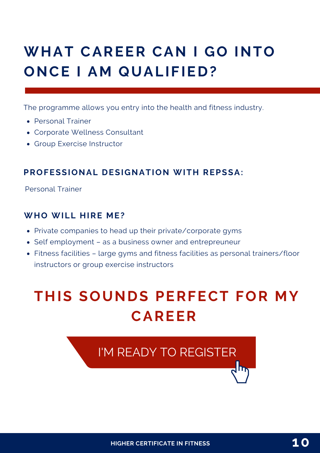### **WHAT CAREER CAN I GO INTO ONCE I AM QUALIFIED?**

The programme allows you entry into the health and fitness industry.

- Personal Trainer
- Corporate Wellness Consultant
- Group Exercise Instructor

#### **PROFESSIONAL DESIGNATION WITH REPSSA:**

Personal Trainer

#### **WHO WILL HIRE ME?**

- Private companies to head up their private/corporate gyms
- Self employment as a business owner and entrepreuneur
- Fitness facilities large gyms and fitness facilities as personal trainers/floor instructors or group exercise instructors

### **THIS SOUNDS PERFECT FOR MY CAREER**

I'M READY TO [REGISTER](https://www.etacollege.com/admissions/online-applications/)